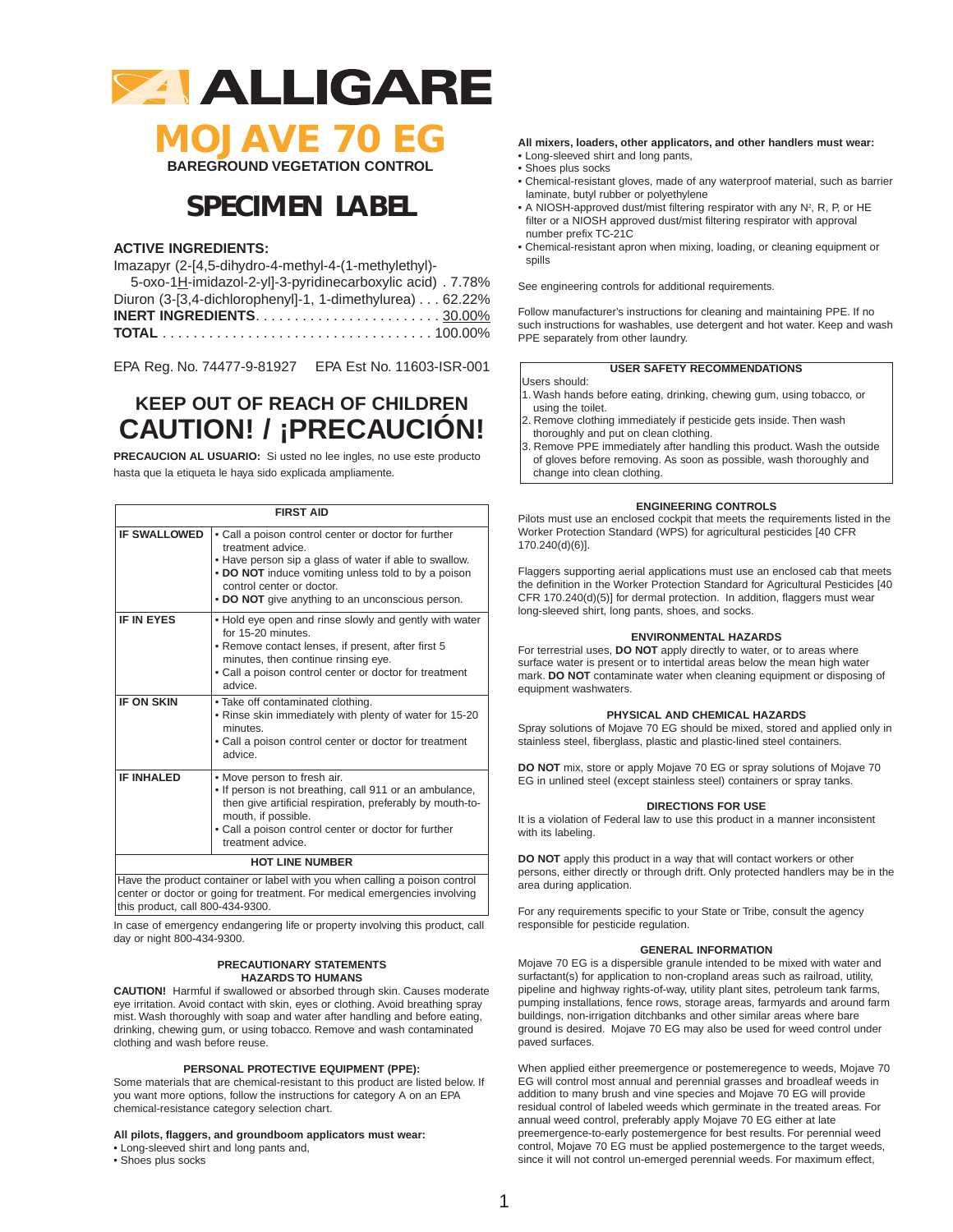

**MOJAVE 70 EG BAREGROUND VEGETATION CONTROL**

## **SPECIMEN LABEL**

## **ACTIVE INGREDIENTS:**

Imazapyr (2-[4,5-dihydro-4-methyl-4-(1-methylethyl)-

| 5-oxo-1H-imidazol-2-yll-3-pyridinecarboxylic acid). 7.78%                                 |
|-------------------------------------------------------------------------------------------|
| Diuron (3-[3,4-dichlorophenyl]-1, 1-dimethylurea) 62.22%                                  |
| <b>INERT INGREDIENTS.</b> $\dots \dots \dots \dots \dots \dots \dots \dots \dots 30.00\%$ |
|                                                                                           |

EPA Reg. No. 74477-9-81927 EPA Est No. 11603-ISR-001

## **KEEP OUT OF REACH OF CHILDREN CAUTION! / ¡PRECAUCIÓN!**

**PRECAUCION AL USUARIO:** Si usted no lee ingles, no use este producto hasta que la etiqueta le haya sido explicada ampliamente.

| <b>FIRST AID</b>       |                                                                                                                                                                                                                                                                             |  |
|------------------------|-----------------------------------------------------------------------------------------------------------------------------------------------------------------------------------------------------------------------------------------------------------------------------|--|
| <b>IF SWALLOWED</b>    | • Call a poison control center or doctor for further<br>treatment advice.<br>• Have person sip a glass of water if able to swallow.<br>. DO NOT induce vomiting unless told to by a poison<br>control center or doctor.<br>• DO NOT give anything to an unconscious person. |  |
| <b>IF IN EYES</b>      | • Hold eye open and rinse slowly and gently with water<br>for 15-20 minutes.<br>. Remove contact lenses, if present, after first 5<br>minutes, then continue rinsing eye.<br>. Call a poison control center or doctor for treatment<br>advice                               |  |
| <b>IF ON SKIN</b>      | . Take off contaminated clothing.<br>. Rinse skin immediately with plenty of water for 15-20<br>minutes.<br>• Call a poison control center or doctor for treatment<br>advice.                                                                                               |  |
| <b>IF INHALED</b>      | . Move person to fresh air.<br>. If person is not breathing, call 911 or an ambulance,<br>then give artificial respiration, preferably by mouth-to-<br>mouth, if possible.<br>. Call a poison control center or doctor for further<br>treatment advice.                     |  |
| <b>HOT LINE NUMBER</b> |                                                                                                                                                                                                                                                                             |  |
|                        | Have the product container or label with you when calling a poison control                                                                                                                                                                                                  |  |

center or doctor or going for treatment. For medical emergencies involving this product, call 800-434-9300.

In case of emergency endangering life or property involving this product, call day or night 800-434-9300.

#### **PRECAUTIONARY STATEMENTS HAZARDS TO HUMANS**

**CAUTION!** Harmful if swallowed or absorbed through skin. Causes moderate eye irritation. Avoid contact with skin, eyes or clothing. Avoid breathing spray mist. Wash thoroughly with soap and water after handling and before eating, drinking, chewing gum, or using tobacco. Remove and wash contaminated clothing and wash before reuse.

### **PERSONAL PROTECTIVE EQUIPMENT (PPE):**

Some materials that are chemical-resistant to this product are listed below. If you want more options, follow the instructions for category A on an EPA chemical-resistance category selection chart.

### **All pilots, flaggers, and groundboom applicators must wear:**

• Long-sleeved shirt and long pants and,

• Shoes plus socks

#### **All mixers, loaders, other applicators, and other handlers must wear:** • Long-sleeved shirt and long pants,

- Shoes plus socks
- Chemical-resistant gloves, made of any waterproof material, such as barrier laminate, butyl rubber or polyethylene
- A NIOSH-approved dust/mist filtering respirator with any  $N^2$ , R, P, or HE filter or a NIOSH approved dust/mist filtering respirator with approval number prefix TC-21C
- Chemical-resistant apron when mixing, loading, or cleaning equipment or spills

See engineering controls for additional requirements.

Follow manufacturer's instructions for cleaning and maintaining PPE. If no such instructions for washables, use detergent and hot water. Keep and wash PPE separately from other laundry.

### **USER SAFETY RECOMMENDATIONS**

#### Users should:

- 1. Wash hands before eating, drinking, chewing gum, using tobacco, or using the toilet.
- 2. Remove clothing immediately if pesticide gets inside. Then wash thoroughly and put on clean clothing.
- 3. Remove PPE immediately after handling this product. Wash the outside of gloves before removing. As soon as possible, wash thoroughly and change into clean clothing.

### **ENGINEERING CONTROLS**

Pilots must use an enclosed cockpit that meets the requirements listed in the Worker Protection Standard (WPS) for agricultural pesticides [40 CFR 170.240(d)(6)].

Flaggers supporting aerial applications must use an enclosed cab that meets the definition in the Worker Protection Standard for Agricultural Pesticides [40 CFR 170.240(d)(5)] for dermal protection. In addition, flaggers must wear long-sleeved shirt, long pants, shoes, and socks.

#### **ENVIRONMENTAL HAZARDS**

For terrestrial uses, **DO NOT** apply directly to water, or to areas where surface water is present or to intertidal areas below the mean high water mark. **DO NOT** contaminate water when cleaning equipment or disposing of equipment washwaters.

#### **PHYSICAL AND CHEMICAL HAZARDS**

Spray solutions of Mojave 70 EG should be mixed, stored and applied only in stainless steel, fiberglass, plastic and plastic-lined steel containers.

**DO NOT** mix, store or apply Mojave 70 EG or spray solutions of Mojave 70 EG in unlined steel (except stainless steel) containers or spray tanks.

#### **DIRECTIONS FOR USE**

It is a violation of Federal law to use this product in a manner inconsistent with its labeling.

**DO NOT** apply this product in a way that will contact workers or other persons, either directly or through drift. Only protected handlers may be in the area during application.

For any requirements specific to your State or Tribe, consult the agency responsible for pesticide regulation.

#### **GENERAL INFORMATION**

Mojave 70 EG is a dispersible granule intended to be mixed with water and surfactant(s) for application to non-cropland areas such as railroad, utility, pipeline and highway rights-of-way, utility plant sites, petroleum tank farms, pumping installations, fence rows, storage areas, farmyards and around farm buildings, non-irrigation ditchbanks and other similar areas where bare ground is desired. Mojave 70 EG may also be used for weed control under paved surfaces.

When applied either preemergence or postemeregence to weeds, Mojave 70 EG will control most annual and perennial grasses and broadleaf weeds in addition to many brush and vine species and Mojave 70 EG will provide residual control of labeled weeds which germinate in the treated areas. For annual weed control, preferably apply Mojave 70 EG either at late preemergence-to-early postemergence for best results. For perennial weed control, Mojave 70 EG must be applied postemergence to the target weeds, since it will not control un-emerged perennial weeds. For maximum effect,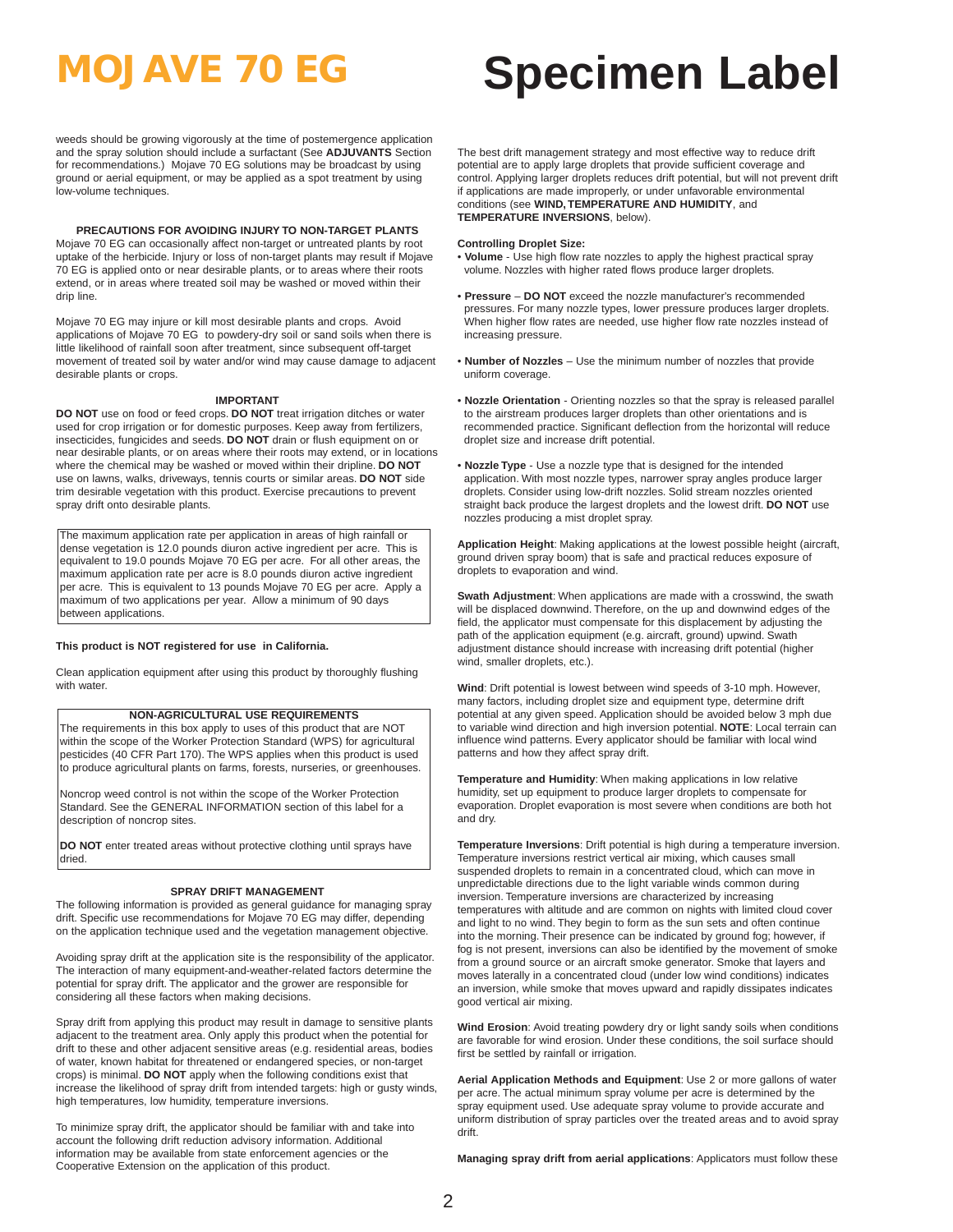weeds should be growing vigorously at the time of postemergence application and the spray solution should include a surfactant (See **ADJUVANTS** Section for recommendations.) Mojave 70 EG solutions may be broadcast by using ground or aerial equipment, or may be applied as a spot treatment by using low-volume techniques.

### **PRECAUTIONS FOR AVOIDING INJURY TO NON-TARGET PLANTS**

Mojave 70 EG can occasionally affect non-target or untreated plants by root uptake of the herbicide. Injury or loss of non-target plants may result if Mojave 70 EG is applied onto or near desirable plants, or to areas where their roots extend, or in areas where treated soil may be washed or moved within their drip line.

Mojave 70 EG may injure or kill most desirable plants and crops. Avoid applications of Mojave 70 EG to powdery-dry soil or sand soils when there is little likelihood of rainfall soon after treatment, since subsequent off-target movement of treated soil by water and/or wind may cause damage to adjacent desirable plants or crops.

#### **IMPORTANT**

**DO NOT** use on food or feed crops. **DO NOT** treat irrigation ditches or water used for crop irrigation or for domestic purposes. Keep away from fertilizers, insecticides, fungicides and seeds. **DO NOT** drain or flush equipment on or near desirable plants, or on areas where their roots may extend, or in locations where the chemical may be washed or moved within their dripline. **DO NOT** use on lawns, walks, driveways, tennis courts or similar areas. **DO NOT** side trim desirable vegetation with this product. Exercise precautions to prevent spray drift onto desirable plants.

The maximum application rate per application in areas of high rainfall or dense vegetation is 12.0 pounds diuron active ingredient per acre. This is equivalent to 19.0 pounds Mojave 70 EG per acre. For all other areas, the maximum application rate per acre is 8.0 pounds diuron active ingredient per acre. This is equivalent to 13 pounds Mojave 70 EG per acre. Apply a maximum of two applications per year. Allow a minimum of 90 days between applications.

#### **This product is NOT registered for use in California.**

Clean application equipment after using this product by thoroughly flushing with water.

#### **NON-AGRICULTURAL USE REQUIREMENTS**

The requirements in this box apply to uses of this product that are NOT within the scope of the Worker Protection Standard (WPS) for agricultural pesticides (40 CFR Part 170). The WPS applies when this product is used to produce agricultural plants on farms, forests, nurseries, or greenhouses.

Noncrop weed control is not within the scope of the Worker Protection Standard. See the GENERAL INFORMATION section of this label for a description of noncrop sites.

**DO NOT** enter treated areas without protective clothing until sprays have dried.

#### **SPRAY DRIFT MANAGEMENT**

The following information is provided as general guidance for managing spray drift. Specific use recommendations for Mojave 70 EG may differ, depending on the application technique used and the vegetation management objective.

Avoiding spray drift at the application site is the responsibility of the applicator. The interaction of many equipment-and-weather-related factors determine the potential for spray drift. The applicator and the grower are responsible for considering all these factors when making decisions.

Spray drift from applying this product may result in damage to sensitive plants adjacent to the treatment area. Only apply this product when the potential for drift to these and other adjacent sensitive areas (e.g. residential areas, bodies of water, known habitat for threatened or endangered species, or non-target crops) is minimal. **DO NOT** apply when the following conditions exist that increase the likelihood of spray drift from intended targets: high or gusty winds, high temperatures, low humidity, temperature inversions.

To minimize spray drift, the applicator should be familiar with and take into account the following drift reduction advisory information. Additional information may be available from state enforcement agencies or the Cooperative Extension on the application of this product.

## **MOJAVE 70 EG Specimen Label**

The best drift management strategy and most effective way to reduce drift potential are to apply large droplets that provide sufficient coverage and control. Applying larger droplets reduces drift potential, but will not prevent drift if applications are made improperly, or under unfavorable environmental conditions (see **WIND, TEMPERATURE AND HUMIDITY**, and **TEMPERATURE INVERSIONS**, below).

#### **Controlling Droplet Size:**

- **Volume** Use high flow rate nozzles to apply the highest practical spray volume. Nozzles with higher rated flows produce larger droplets.
- **Pressure DO NOT** exceed the nozzle manufacturer's recommended pressures. For many nozzle types, lower pressure produces larger droplets. When higher flow rates are needed, use higher flow rate nozzles instead of increasing pressure.
- **Number of Nozzles** Use the minimum number of nozzles that provide uniform coverage.
- **Nozzle Orientation** Orienting nozzles so that the spray is released parallel to the airstream produces larger droplets than other orientations and is recommended practice. Significant deflection from the horizontal will reduce droplet size and increase drift potential.
- **Nozzle Type** Use a nozzle type that is designed for the intended application. With most nozzle types, narrower spray angles produce larger droplets. Consider using low-drift nozzles. Solid stream nozzles oriented straight back produce the largest droplets and the lowest drift. **DO NOT** use nozzles producing a mist droplet spray.

**Application Height**: Making applications at the lowest possible height (aircraft, ground driven spray boom) that is safe and practical reduces exposure of droplets to evaporation and wind.

**Swath Adjustment**: When applications are made with a crosswind, the swath will be displaced downwind. Therefore, on the up and downwind edges of the field, the applicator must compensate for this displacement by adjusting the path of the application equipment (e.g. aircraft, ground) upwind. Swath adjustment distance should increase with increasing drift potential (higher wind, smaller droplets, etc.).

**Wind**: Drift potential is lowest between wind speeds of 3-10 mph. However, many factors, including droplet size and equipment type, determine drift potential at any given speed. Application should be avoided below 3 mph due to variable wind direction and high inversion potential. **NOTE**: Local terrain can influence wind patterns. Every applicator should be familiar with local wind patterns and how they affect spray drift.

**Temperature and Humidity**: When making applications in low relative humidity, set up equipment to produce larger droplets to compensate for evaporation. Droplet evaporation is most severe when conditions are both hot and dry.

**Temperature Inversions**: Drift potential is high during a temperature inversion. Temperature inversions restrict vertical air mixing, which causes small suspended droplets to remain in a concentrated cloud, which can move in unpredictable directions due to the light variable winds common during inversion. Temperature inversions are characterized by increasing temperatures with altitude and are common on nights with limited cloud cover and light to no wind. They begin to form as the sun sets and often continue into the morning. Their presence can be indicated by ground fog; however, if fog is not present, inversions can also be identified by the movement of smoke from a ground source or an aircraft smoke generator. Smoke that layers and moves laterally in a concentrated cloud (under low wind conditions) indicates an inversion, while smoke that moves upward and rapidly dissipates indicates good vertical air mixing.

**Wind Erosion**: Avoid treating powdery dry or light sandy soils when conditions are favorable for wind erosion. Under these conditions, the soil surface should first be settled by rainfall or irrigation.

**Aerial Application Methods and Equipment**: Use 2 or more gallons of water per acre. The actual minimum spray volume per acre is determined by the spray equipment used. Use adequate spray volume to provide accurate and uniform distribution of spray particles over the treated areas and to avoid spray drift.

**Managing spray drift from aerial applications**: Applicators must follow these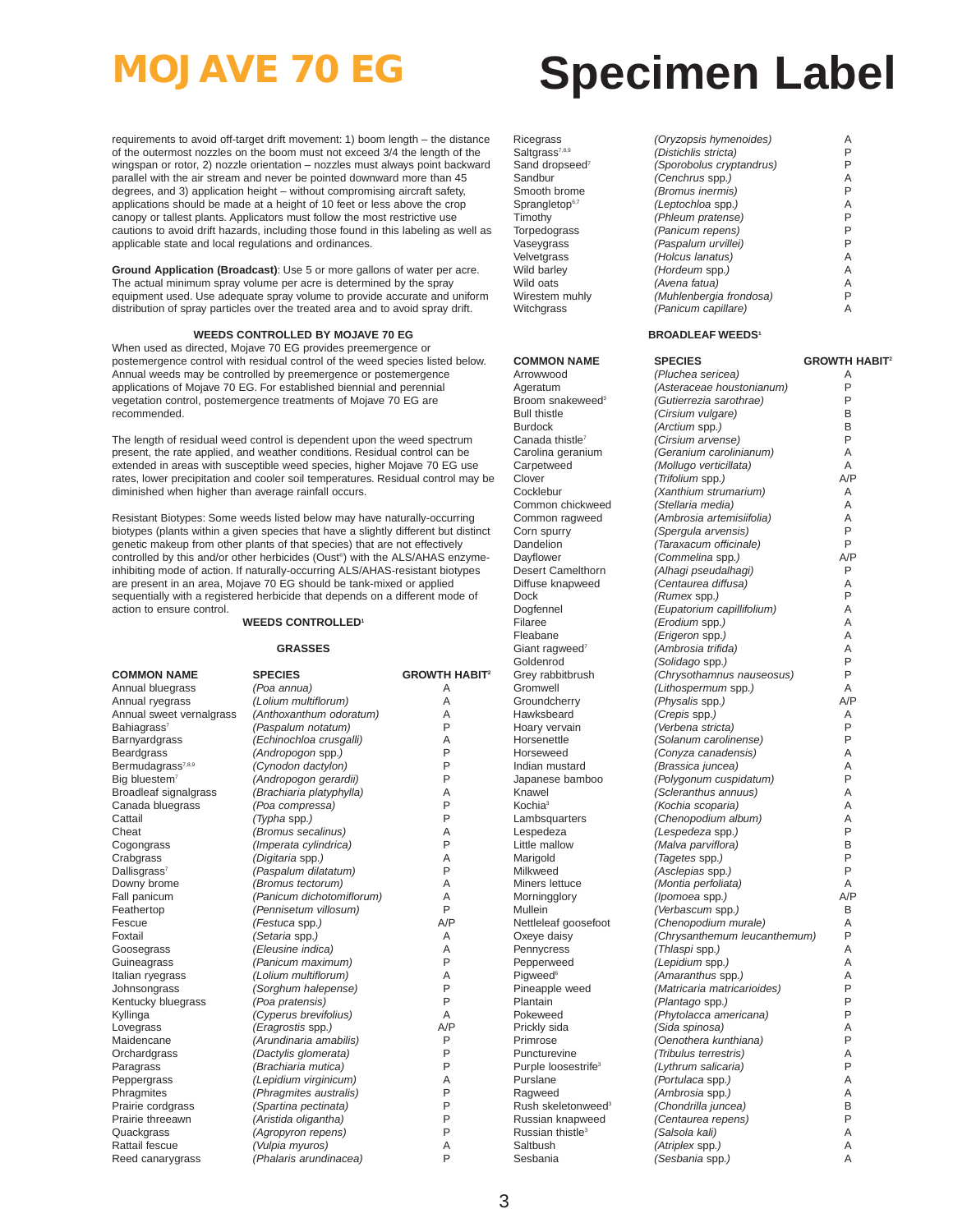requirements to avoid off-target drift movement: 1) boom length – the distance of the outermost nozzles on the boom must not exceed 3/4 the length of the wingspan or rotor, 2) nozzle orientation – nozzles must always point backward parallel with the air stream and never be pointed downward more than 45 degrees, and 3) application height – without compromising aircraft safety, applications should be made at a height of 10 feet or less above the crop canopy or tallest plants. Applicators must follow the most restrictive use cautions to avoid drift hazards, including those found in this labeling as well as applicable state and local regulations and ordinances.

**Ground Application (Broadcast)**: Use 5 or more gallons of water per acre. The actual minimum spray volume per acre is determined by the spray equipment used. Use adequate spray volume to provide accurate and uniform distribution of spray particles over the treated area and to avoid spray drift.

#### **WEEDS CONTROLLED BY MOJAVE 70 EG**

When used as directed, Mojave 70 EG provides preemergence or postemergence control with residual control of the weed species listed below. Annual weeds may be controlled by preemergence or postemergence applications of Mojave 70 EG. For established biennial and perennial vegetation control, postemergence treatments of Mojave 70 EG are recommended.

The length of residual weed control is dependent upon the weed spectrum present, the rate applied, and weather conditions. Residual control can be extended in areas with susceptible weed species, higher Mojave 70 EG use rates, lower precipitation and cooler soil temperatures. Residual control may be diminished when higher than average rainfall occurs.

Resistant Biotypes: Some weeds listed below may have naturally-occurring biotypes (plants within a given species that have a slightly different but distinct genetic makeup from other plants of that species) that are not effectively controlled by this and/or other herbicides (Oust®) with the ALS/AHAS enzymeinhibiting mode of action. If naturally-occurring ALS/AHAS-resistant biotypes are present in an area, Mojave 70 EG should be tank-mixed or applied sequentially with a registered herbicide that depends on a different mode of action to ensure control.

#### **WEEDS CONTROLLED1**

#### **GRASSES**

| <b>COMMON NAME</b>            | <b>SPECIES</b>            | <b>GROWTH HABIT<sup>2</sup></b> |
|-------------------------------|---------------------------|---------------------------------|
| Annual bluegrass              | (Poa annua)               | Α                               |
| Annual ryegrass               | (Lolium multiflorum)      | A                               |
| Annual sweet vernalgrass      | (Anthoxanthum odoratum)   | A                               |
| Bahiagrass <sup>7</sup>       | (Paspalum notatum)        | P                               |
| Barnyardgrass                 | (Echinochloa crusgalli)   | A                               |
| <b>Beardgrass</b>             | (Andropogon spp.)         | P                               |
| Bermudagrass <sup>7,8,9</sup> | (Cynodon dactylon)        | P                               |
| Big bluestem <sup>7</sup>     | (Andropogon gerardii)     | P                               |
| Broadleaf signalgrass         | (Brachiaria platyphylla)  | A                               |
| Canada bluegrass              | (Poa compressa)           | P                               |
| Cattail                       | (Typha spp.)              | P                               |
| Cheat                         | (Bromus secalinus)        | A                               |
| Cogongrass                    | (Imperata cylindrica)     | P                               |
| Crabgrass                     | (Digitaria spp.)          | A                               |
| Dallisgrass <sup>7</sup>      | (Paspalum dilatatum)      | P                               |
| Downy brome                   | (Bromus tectorum)         | A                               |
| Fall panicum                  | (Panicum dichotomiflorum) | A                               |
| Feathertop                    | (Pennisetum villosum)     | P                               |
| Fescue                        | (Festuca spp.)            | A/P                             |
| Foxtail                       | (Setaria spp.)            | A                               |
| Goosegrass                    | (Eleusine indica)         | A                               |
| Guineagrass                   | (Panicum maximum)         | P                               |
| Italian ryegrass              | (Lolium multiflorum)      | A                               |
| Johnsongrass                  | (Sorghum halepense)       | P                               |
| Kentucky bluegrass            | (Poa pratensis)           | P                               |
| Kyllinga                      | (Cyperus brevifolius)     | A                               |
| Lovegrass                     | (Eragrostis spp.)         | A/P                             |
| Maidencane                    | (Arundinaria amabilis)    | P                               |
| Orchardgrass                  | (Dactylis glomerata)      | P                               |
| Paragrass                     | (Brachiaria mutica)       | P                               |
| Peppergrass                   | (Lepidium virginicum)     | A                               |
| Phragmites                    | (Phragmites australis)    | P                               |
| Prairie cordgrass             | (Spartina pectinata)      | P                               |
| Prairie threeawn              | (Aristida oligantha)      | P                               |
| Quackgrass                    | (Agropyron repens)        | P                               |
| Rattail fescue                | (Vulpia myuros)           | Α                               |
| Reed canarygrass              | (Phalaris arundinacea)    | P                               |

# **MOJAVE 70 EG Specimen Label**

| Ricegrass                  | (Oryzopsis hymenoides)   | Α |
|----------------------------|--------------------------|---|
| Saltgrass <sup>7,8,9</sup> | (Distichlis stricta)     | P |
| Sand dropseed <sup>7</sup> | (Sporobolus cryptandrus) | Ρ |
| Sandbur                    | (Cenchrus spp.)          | A |
| Smooth brome               | (Bromus inermis)         | P |
| Sprangletop <sup>6,7</sup> | (Leptochloa spp.)        | A |
| Timothy                    | (Phleum pratense)        | P |
| Torpedograss               | (Panicum repens)         | P |
| Vaseygrass                 | (Paspalum urvillei)      | P |
| <b>Velvetgrass</b>         | (Holcus lanatus)         | Α |
| Wild barley                | (Hordeum spp.)           | A |
| Wild oats                  | (Avena fatua)            | A |
| Wirestem muhly             | (Muhlenbergia frondosa)  | P |
| Witchgrass                 | (Panicum capillare)      | A |
|                            |                          |   |

#### **BROADLEAF WEEDS<sup>1</sup>**

| <b>COMMON NAME</b>                              | <b>SPECIES</b>                          | <b>GROWTH HABIT<sup>2</sup></b> |
|-------------------------------------------------|-----------------------------------------|---------------------------------|
| Arrowwood                                       | (Pluchea sericea)                       | Α                               |
| Ageratum                                        | (Asteraceae houstonianum)               | P                               |
| Broom snakeweed <sup>3</sup>                    | (Gutierrezia sarothrae)                 | P                               |
| <b>Bull thistle</b>                             | (Cirsium vulgare)                       | В                               |
| <b>Burdock</b>                                  | (Arctium spp.)                          | B                               |
| Canada thistle <sup>7</sup>                     | (Cirsium arvense)                       | P                               |
| Carolina geranium                               | (Geranium carolinianum)                 | A                               |
| Carpetweed                                      | (Mollugo verticillata)                  | A                               |
| Clover                                          | (Trifolium spp.)                        | A/P                             |
| Cocklebur                                       | (Xanthium strumarium)                   | Α                               |
| Common chickweed                                | (Stellaria media)                       | A                               |
| Common ragweed                                  | (Ambrosia artemisiifolia)               | Α                               |
| Corn spurry                                     | (Spergula arvensis)                     | P                               |
| Dandelion                                       | (Taraxacum officinale)                  | P                               |
| Dayflower                                       | (Commelina spp.)                        | A/P                             |
| Desert Camelthorn                               | (Alhagi pseudalhagi)                    | P                               |
| Diffuse knapweed                                | (Centaurea diffusa)                     | A                               |
| Dock                                            | (Rumex spp.)                            | P                               |
| Dogfennel                                       | (Eupatorium capillifolium)              | Α                               |
| Filaree                                         | (Erodium spp.)                          | Α                               |
| Fleabane                                        | (Erigeron spp.)                         | A                               |
| Giant ragweed <sup>7</sup>                      | (Ambrosia trifida)                      | Α                               |
| Goldenrod                                       | (Solidago spp.)                         | P                               |
| Grey rabbitbrush                                | (Chrysothamnus nauseosus)               | P                               |
| Gromwell                                        | (Lithospermum spp.)                     | A                               |
| Groundcherry                                    | (Physalis spp.)                         | A/P                             |
| Hawksbeard                                      | (Crepis spp.)                           | A                               |
| Hoary vervain                                   | (Verbena stricta)                       | P                               |
| Horsenettle                                     | (Solanum carolinense)                   | P                               |
| Horseweed                                       | (Conyza canadensis)                     | Α                               |
| Indian mustard                                  | (Brassica juncea)                       | A                               |
| Japanese bamboo                                 | (Polygonum cuspidatum)                  | P                               |
| Knawel                                          | (Scleranthus annuus)                    | A                               |
| Kochia <sup>3</sup>                             | (Kochia scoparia)                       | Α                               |
| Lambsquarters                                   | (Chenopodium album)                     | Α                               |
| Lespedeza                                       | (Lespedeza spp.)                        | P                               |
| Little mallow                                   | (Malva parviflora)                      | В                               |
| Marigold                                        | (Tagetes spp.)                          | P                               |
| Milkweed                                        | (Asclepias spp.)                        | P                               |
| Miners lettuce                                  | (Montia perfoliata)                     | A                               |
| Morningglory                                    | (Ipomoea spp.)                          | A/P                             |
| Mullein                                         | (Verbascum spp.)                        | В                               |
| Nettleleaf goosefoot                            | (Chenopodium murale)                    | А                               |
| Oxeye daisy                                     | (Chrysanthemum leucanthemum)            | P                               |
| Pennycress                                      | (Thlaspi spp.)                          | Α<br>A                          |
| Pepperweed                                      | (Lepidium spp.)                         | Α                               |
| Pigweed <sup>6</sup>                            | (Amaranthus spp.)                       | P                               |
| Pineapple weed<br>Plantain                      | (Matricaria matricarioides)             | P                               |
|                                                 | (Plantago spp.)                         | P                               |
| Pokeweed                                        | (Phytolacca americana)                  | A                               |
| Prickly sida<br>Primrose                        | (Sida spinosa)<br>(Oenothera kunthiana) | P                               |
|                                                 |                                         | Α                               |
| Puncturevine<br>Purple loosestrife <sup>3</sup> | (Tribulus terrestris)                   | Ρ                               |
| Purslane                                        | (Lythrum salicaria)<br>(Portulaca spp.) | Α                               |
| Ragweed                                         | (Ambrosia spp.)                         | A                               |
| Rush skeletonweed <sup>3</sup>                  | (Chondrilla juncea)                     | B                               |
| Russian knapweed                                | (Centaurea repens)                      | P                               |
| Russian thistle <sup>3</sup>                    | (Salsola kali)                          | A                               |
| Saltbush                                        | (Atriplex spp.)                         | Α                               |
| Sesbania                                        | (Sesbania spp.)                         | Α                               |
|                                                 |                                         |                                 |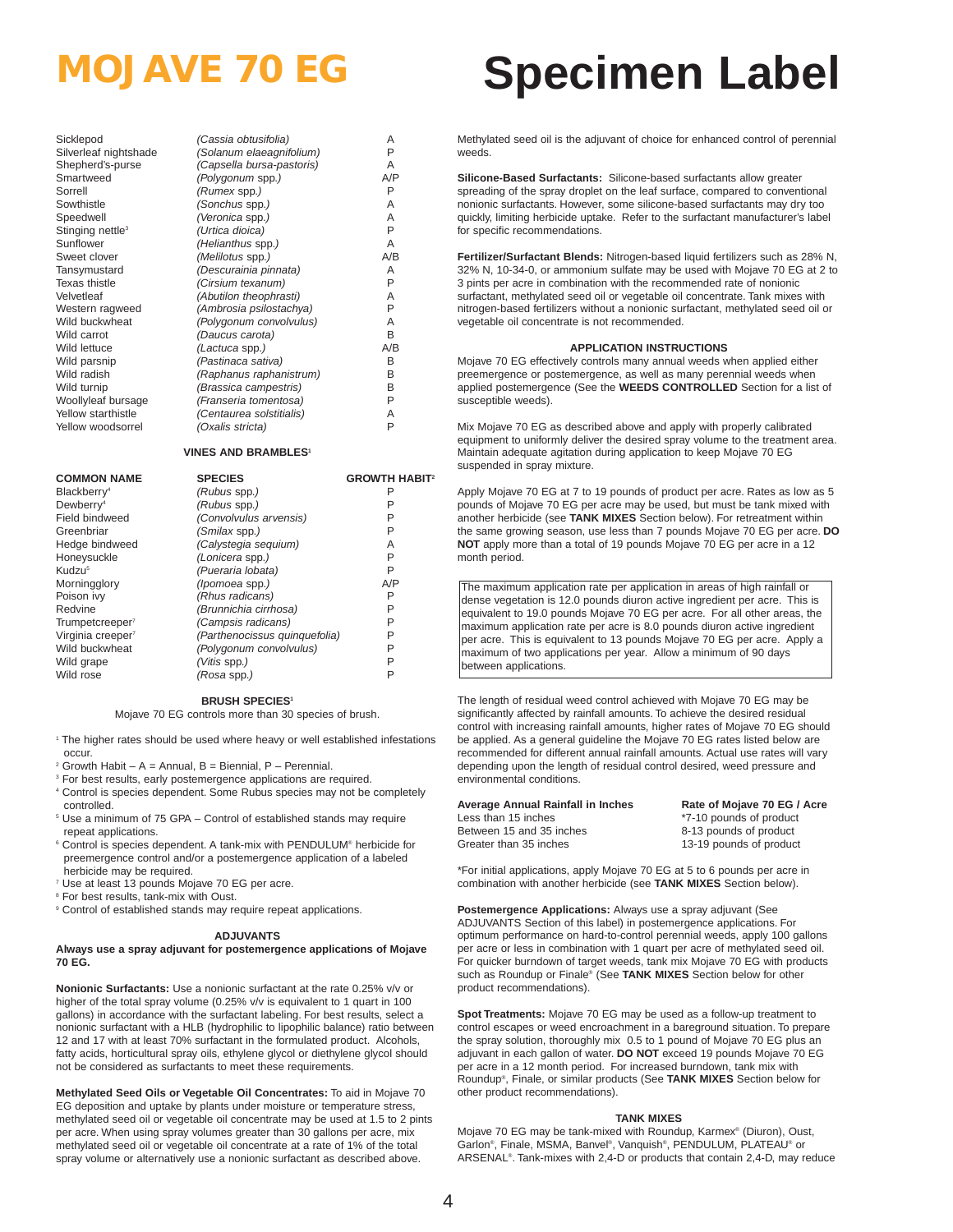| Sicklepod                    | (C              |
|------------------------------|-----------------|
| Silverleaf nightshade        | (S              |
| Shepherd's-purse             | (C              |
| Smartweed                    | (F              |
| Sorrell                      | (F              |
| Sowthistle                   | (S              |
| Speedwell                    | $\Lambda$       |
| Stinging nettle <sup>3</sup> | (l              |
| Sunflower                    | (               |
| Sweet clover                 | (               |
| Tansymustard                 | (L              |
| Texas thistle                | (               |
| √elvetleaf                   | $(\sqrt{2})$    |
| Nestern ragweed              | $(\mathcal{A})$ |
| <b>Nild buckwheat</b>        | (F              |
| Nild carrot                  | (L              |
| <b>Nild lettuce</b>          | (L              |
| Nild parsnip                 | (F              |
| Nild radish                  | (F              |
| Nild turnip                  | (E              |
| Noollyleaf bursage           | (F              |
| Yellow starthistle           | (C              |
| rellow woodsorrel            | (٥              |
|                              |                 |

| Sicklepod                    | (Cassia obtusifolia)      | Α   |
|------------------------------|---------------------------|-----|
| Silverleaf nightshade        | (Solanum elaeagnifolium)  | P   |
| Shepherd's-purse             | (Capsella bursa-pastoris) | A   |
| Smartweed                    | (Polygonum spp.)          | A/P |
| Sorrell                      | (Rumex spp.)              | P   |
| Sowthistle                   | (Sonchus spp.)            | A   |
| Speedwell                    | (Veronica spp.)           | A   |
| Stinging nettle <sup>3</sup> | (Urtica dioica)           | P   |
| Sunflower                    | (Helianthus spp.)         | A   |
| Sweet clover                 | (Melilotus spp.)          | A/B |
| Tansymustard                 | (Descurainia pinnata)     | A   |
| Texas thistle                | (Cirsium texanum)         | P   |
| Velvetleaf                   | (Abutilon theophrasti)    | A   |
| Western ragweed              | (Ambrosia psilostachya)   | P   |
| Wild buckwheat               | (Polygonum convolvulus)   | A   |
| Wild carrot                  | (Daucus carota)           | B   |
| Wild lettuce                 | (Lactuca spp.)            | A/B |
| Wild parsnip                 | (Pastinaca sativa)        | В   |
| Wild radish                  | (Raphanus raphanistrum)   | B   |
| Wild turnip                  | (Brassica campestris)     | B   |
| Woollyleaf bursage           | (Franseria tomentosa)     | P   |
| Yellow starthistle           | (Centaurea solstitialis)  | A   |
| Yellow woodsorrel            | (Oxalis stricta)          | P   |
|                              |                           |     |

### **VINES AND BRAMBLES1**

| <b>COMMON NAME</b>            | <b>SPECIES</b>                | <b>GROWTH HABIT<sup>2</sup></b> |
|-------------------------------|-------------------------------|---------------------------------|
| Blackberry <sup>4</sup>       | (Rubus spp.)                  | Р                               |
| Dewberry <sup>4</sup>         | (Rubus spp.)                  |                                 |
| Field bindweed                | (Convolvulus arvensis)        | Р                               |
| Greenbriar                    | (Smilax spp.)                 | P                               |
| Hedge bindweed                | (Calystegia seguium)          | Α                               |
| Honeysuckle                   | (Lonicera spp.)               | P                               |
| Kudzu <sup>5</sup>            | (Pueraria lobata)             | P                               |
| Morningglory                  | (lpomoea spp.)                | A/P                             |
| Poison ivy                    | (Rhus radicans)               | P                               |
| Redvine                       | (Brunnichia cirrhosa)         | Р                               |
| Trumpetcreeper <sup>7</sup>   | (Campsis radicans)            | P                               |
| Virginia creeper <sup>7</sup> | (Parthenocissus quinquefolia) | P                               |
| Wild buckwheat                | (Polygonum convolvulus)       | P                               |
| Wild grape                    | <i>(Vitis spp.)</i>           | P                               |
| Wild rose                     | (Rosa spp.)                   | P                               |

#### **BRUSH SPECIES1**

Mojave 70 EG controls more than 30 species of brush.

- <sup>1</sup> The higher rates should be used where heavy or well established infestations occur.
- $2$  Growth Habit A = Annual, B = Biennial, P Perennial.
- <sup>3</sup> For best results, early postemergence applications are required. <sup>4</sup> Control is species dependent. Some Rubus species may not be completely
- controlled. <sup>5</sup> Use a minimum of 75 GPA – Control of established stands may require
- repeat applications. <sup>6</sup> Control is species dependent. A tank-mix with PENDULUM® herbicide for
- preemergence control and/or a postemergence application of a labeled herbicide may be required.
- <sup>7</sup> Use at least 13 pounds Mojave 70 EG per acre.
- <sup>8</sup> For best results, tank-mix with Oust.
- <sup>9</sup> Control of established stands may require repeat applications.

#### **ADJUVANTS**

#### **Always use a spray adjuvant for postemergence applications of Mojave 70 EG.**

**Nonionic Surfactants:** Use a nonionic surfactant at the rate 0.25% v/v or higher of the total spray volume (0.25% v/v is equivalent to 1 quart in 100 gallons) in accordance with the surfactant labeling. For best results, select a nonionic surfactant with a HLB (hydrophilic to lipophilic balance) ratio between 12 and 17 with at least 70% surfactant in the formulated product. Alcohols, fatty acids, horticultural spray oils, ethylene glycol or diethylene glycol should not be considered as surfactants to meet these requirements.

**Methylated Seed Oils or Vegetable Oil Concentrates:** To aid in Mojave 70 EG deposition and uptake by plants under moisture or temperature stress, methylated seed oil or vegetable oil concentrate may be used at 1.5 to 2 pints per acre. When using spray volumes greater than 30 gallons per acre, mix methylated seed oil or vegetable oil concentrate at a rate of 1% of the total spray volume or alternatively use a nonionic surfactant as described above.

## **MOJAVE 70 EG Specimen Label**

Methylated seed oil is the adjuvant of choice for enhanced control of perennial weeds.

**Silicone-Based Surfactants:** Silicone-based surfactants allow greater spreading of the spray droplet on the leaf surface, compared to conventional nonionic surfactants. However, some silicone-based surfactants may dry too quickly, limiting herbicide uptake. Refer to the surfactant manufacturer's label for specific recommendations.

**Fertilizer/Surfactant Blends:** Nitrogen-based liquid fertilizers such as 28% N, 32% N, 10-34-0, or ammonium sulfate may be used with Mojave 70 EG at 2 to 3 pints per acre in combination with the recommended rate of nonionic surfactant, methylated seed oil or vegetable oil concentrate. Tank mixes with nitrogen-based fertilizers without a nonionic surfactant, methylated seed oil or vegetable oil concentrate is not recommended.

#### **APPLICATION INSTRUCTIONS**

Mojave 70 EG effectively controls many annual weeds when applied either preemergence or postemergence, as well as many perennial weeds when applied postemergence (See the **WEEDS CONTROLLED** Section for a list of susceptible weeds).

Mix Mojave 70 EG as described above and apply with properly calibrated equipment to uniformly deliver the desired spray volume to the treatment area. Maintain adequate agitation during application to keep Mojave 70 EG suspended in spray mixture.

Apply Mojave 70 EG at 7 to 19 pounds of product per acre. Rates as low as 5 pounds of Mojave 70 EG per acre may be used, but must be tank mixed with another herbicide (see **TANK MIXES** Section below). For retreatment within the same growing season, use less than 7 pounds Mojave 70 EG per acre. **DO NOT** apply more than a total of 19 pounds Mojave 70 EG per acre in a 12 month period.

The maximum application rate per application in areas of high rainfall or dense vegetation is 12.0 pounds diuron active ingredient per acre. This is equivalent to 19.0 pounds Mojave 70 EG per acre. For all other areas, the maximum application rate per acre is 8.0 pounds diuron active ingredient per acre. This is equivalent to 13 pounds Mojave 70 EG per acre. Apply a maximum of two applications per year. Allow a minimum of 90 days between applications.

The length of residual weed control achieved with Mojave 70 EG may be significantly affected by rainfall amounts. To achieve the desired residual control with increasing rainfall amounts, higher rates of Mojave 70 EG should be applied. As a general guideline the Mojave 70 EG rates listed below are recommended for different annual rainfall amounts. Actual use rates will vary depending upon the length of residual control desired, weed pressure and environmental conditions.

**Average Annual Rainfall in Inches Rate of Mojave 70 EG / Acre**<br>Less than 15 inches **Rate 10** to the motor of the threater than 15 inches Less than 15 inches than 15 inches than 15 inches that the state of product that the state of product that the state of product that the state of product that the state of product that the state of product that the state o Greater than 35 inches 13-19 pounds of product

8-13 pounds of product

\*For initial applications, apply Mojave 70 EG at 5 to 6 pounds per acre in combination with another herbicide (see **TANK MIXES** Section below).

**Postemergence Applications:** Always use a spray adjuvant (See ADJUVANTS Section of this label) in postemergence applications. For optimum performance on hard-to-control perennial weeds, apply 100 gallons per acre or less in combination with 1 quart per acre of methylated seed oil. For quicker burndown of target weeds, tank mix Mojave 70 EG with products such as Roundup or Finale® (See **TANK MIXES** Section below for other product recommendations).

**Spot Treatments:** Mojave 70 EG may be used as a follow-up treatment to control escapes or weed encroachment in a bareground situation. To prepare the spray solution, thoroughly mix 0.5 to 1 pound of Mojave 70 EG plus an adjuvant in each gallon of water. **DO NOT** exceed 19 pounds Mojave 70 EG per acre in a 12 month period. For increased burndown, tank mix with Roundup®, Finale, or similar products (See **TANK MIXES** Section below for other product recommendations).

#### **TANK MIXES**

Mojave 70 EG may be tank-mixed with Roundup, Karmex® (Diuron), Oust, Garlon®, Finale, MSMA, Banvel®, Vanquish®, PENDULUM, PLATEAU® or ARSENAL®. Tank-mixes with 2,4-D or products that contain 2,4-D, may reduce